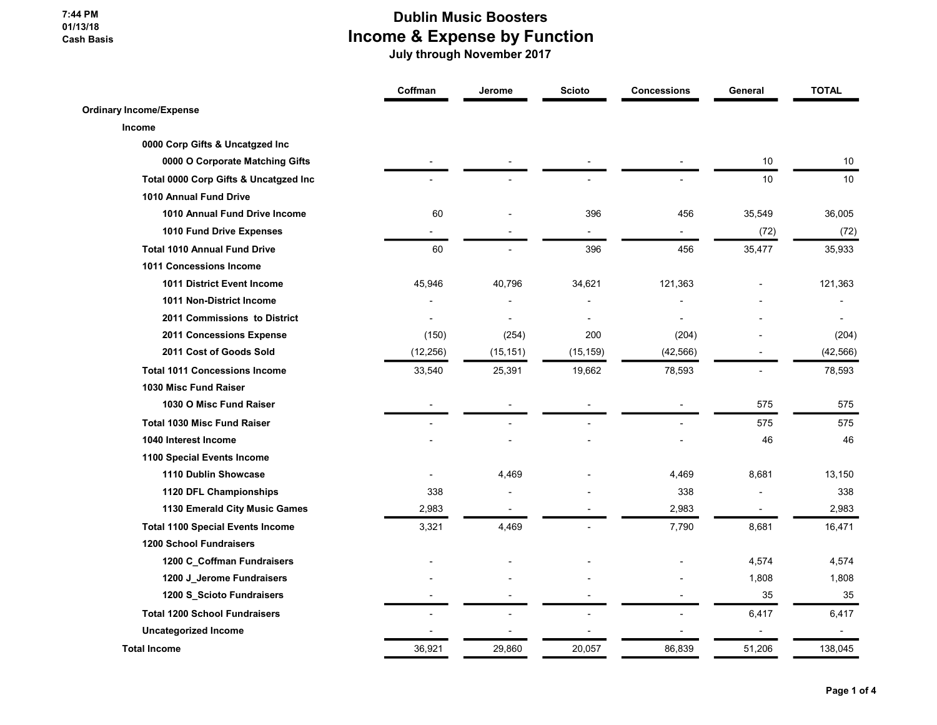#### 7:44 PM 01/13/18 Cash Basis

### Dublin Music Boosters Income & Expense by Function

|                                         | Coffman   | Jerome                   | <b>Scioto</b>  | <b>Concessions</b> | General                  | <b>TOTAL</b> |
|-----------------------------------------|-----------|--------------------------|----------------|--------------------|--------------------------|--------------|
| <b>Ordinary Income/Expense</b>          |           |                          |                |                    |                          |              |
| Income                                  |           |                          |                |                    |                          |              |
| 0000 Corp Gifts & Uncatgzed Inc         |           |                          |                |                    |                          |              |
| 0000 O Corporate Matching Gifts         |           |                          |                |                    | 10                       | $10$         |
| Total 0000 Corp Gifts & Uncatgzed Inc   |           |                          |                |                    | 10 <sup>1</sup>          | 10           |
| 1010 Annual Fund Drive                  |           |                          |                |                    |                          |              |
| 1010 Annual Fund Drive Income           | 60        |                          | 396            | 456                | 35,549                   | 36,005       |
| 1010 Fund Drive Expenses                |           |                          | $\overline{a}$ |                    | (72)                     | (72)         |
| <b>Total 1010 Annual Fund Drive</b>     | 60        |                          | 396            | 456                | 35,477                   | 35,933       |
| 1011 Concessions Income                 |           |                          |                |                    |                          |              |
| <b>1011 District Event Income</b>       | 45,946    | 40,796                   | 34,621         | 121,363            |                          | 121,363      |
| 1011 Non-District Income                |           |                          |                |                    |                          |              |
| 2011 Commissions to District            |           | $\overline{\phantom{a}}$ | $\blacksquare$ |                    |                          |              |
| 2011 Concessions Expense                | (150)     | (254)                    | 200            | (204)              |                          | (204)        |
| 2011 Cost of Goods Sold                 | (12, 256) | (15, 151)                | (15, 159)      | (42, 566)          |                          | (42, 566)    |
| <b>Total 1011 Concessions Income</b>    | 33,540    | 25,391                   | 19,662         | 78,593             |                          | 78,593       |
| 1030 Misc Fund Raiser                   |           |                          |                |                    |                          |              |
| 1030 O Misc Fund Raiser                 |           |                          |                |                    | 575                      | 575          |
| <b>Total 1030 Misc Fund Raiser</b>      |           |                          |                |                    | 575                      | 575          |
| 1040 Interest Income                    |           |                          |                |                    | 46                       | 46           |
| 1100 Special Events Income              |           |                          |                |                    |                          |              |
| 1110 Dublin Showcase                    |           | 4,469                    |                | 4,469              | 8,681                    | 13,150       |
| 1120 DFL Championships                  | 338       |                          |                | 338                |                          | 338          |
| 1130 Emerald City Music Games           | 2,983     |                          |                | 2,983              | $\overline{\phantom{a}}$ | 2,983        |
| <b>Total 1100 Special Events Income</b> | 3,321     | 4,469                    |                | 7,790              | 8,681                    | 16,471       |
| <b>1200 School Fundraisers</b>          |           |                          |                |                    |                          |              |
| 1200 C_Coffman Fundraisers              |           |                          |                |                    | 4,574                    | 4,574        |
| 1200 J_Jerome Fundraisers               |           |                          |                |                    | 1,808                    | 1,808        |
| 1200 S_Scioto Fundraisers               |           |                          |                |                    | 35                       | 35           |
| <b>Total 1200 School Fundraisers</b>    |           |                          |                |                    | 6,417                    | 6,417        |
| <b>Uncategorized Income</b>             |           |                          |                |                    | Ĭ.                       |              |
| <b>Total Income</b>                     | 36,921    | 29,860                   | 20,057         | 86,839             | 51,206                   | 138,045      |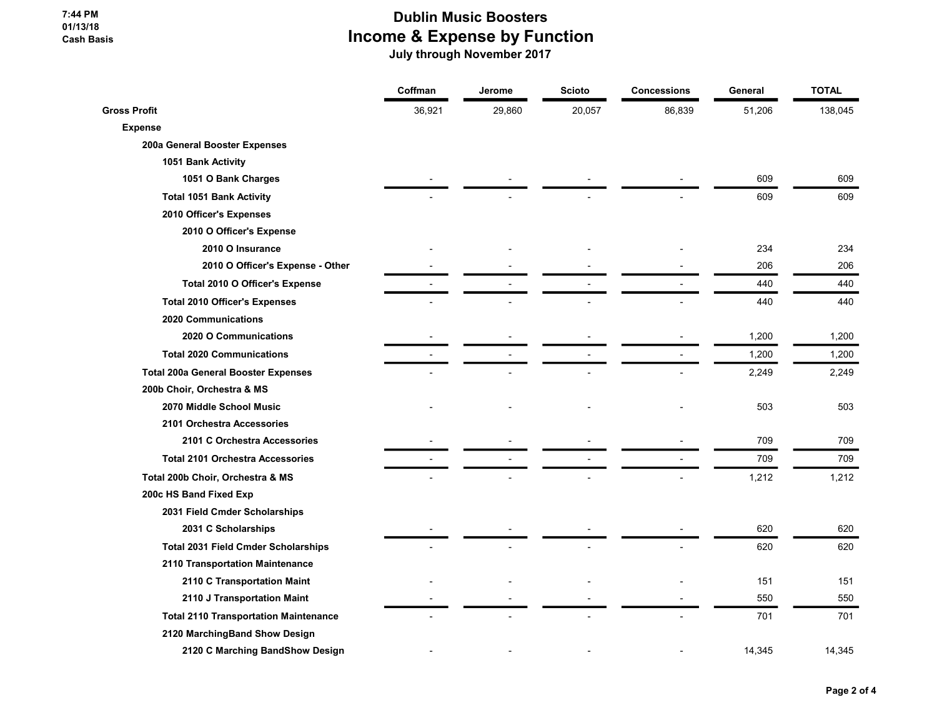7:44 PM 01/13/18 Cash Basis

# Dublin Music Boosters Income & Expense by Function

|                                              | Coffman | Jerome | <b>Scioto</b> | <b>Concessions</b> | General | <b>TOTAL</b> |
|----------------------------------------------|---------|--------|---------------|--------------------|---------|--------------|
| <b>Gross Profit</b>                          | 36,921  | 29,860 | 20,057        | 86,839             | 51,206  | 138,045      |
| <b>Expense</b>                               |         |        |               |                    |         |              |
| 200a General Booster Expenses                |         |        |               |                    |         |              |
| 1051 Bank Activity                           |         |        |               |                    |         |              |
| 1051 O Bank Charges                          |         |        |               |                    | 609     | 609          |
| <b>Total 1051 Bank Activity</b>              |         |        |               |                    | 609     | 609          |
| 2010 Officer's Expenses                      |         |        |               |                    |         |              |
| 2010 O Officer's Expense                     |         |        |               |                    |         |              |
| 2010 O Insurance                             |         |        |               |                    | 234     | 234          |
| 2010 O Officer's Expense - Other             |         |        |               |                    | 206     | 206          |
| Total 2010 O Officer's Expense               |         |        |               |                    | 440     | 440          |
| <b>Total 2010 Officer's Expenses</b>         |         |        |               |                    | 440     | 440          |
| 2020 Communications                          |         |        |               |                    |         |              |
| 2020 O Communications                        |         |        |               |                    | 1,200   | 1,200        |
| <b>Total 2020 Communications</b>             |         |        |               |                    | 1,200   | 1,200        |
| <b>Total 200a General Booster Expenses</b>   |         |        |               |                    | 2,249   | 2,249        |
| 200b Choir, Orchestra & MS                   |         |        |               |                    |         |              |
| 2070 Middle School Music                     |         |        |               |                    | 503     | 503          |
| 2101 Orchestra Accessories                   |         |        |               |                    |         |              |
| 2101 C Orchestra Accessories                 |         |        |               |                    | 709     | 709          |
| <b>Total 2101 Orchestra Accessories</b>      |         |        |               |                    | 709     | 709          |
| Total 200b Choir, Orchestra & MS             |         |        |               |                    | 1,212   | 1,212        |
| 200c HS Band Fixed Exp                       |         |        |               |                    |         |              |
| 2031 Field Cmder Scholarships                |         |        |               |                    |         |              |
| 2031 C Scholarships                          |         |        |               |                    | 620     | 620          |
| <b>Total 2031 Field Cmder Scholarships</b>   |         |        |               |                    | 620     | 620          |
| 2110 Transportation Maintenance              |         |        |               |                    |         |              |
| 2110 C Transportation Maint                  |         |        |               |                    | 151     | 151          |
| 2110 J Transportation Maint                  |         |        |               |                    | 550     | 550          |
| <b>Total 2110 Transportation Maintenance</b> |         |        |               |                    | 701     | 701          |
| 2120 MarchingBand Show Design                |         |        |               |                    |         |              |
| 2120 C Marching BandShow Design              |         |        |               |                    | 14,345  | 14,345       |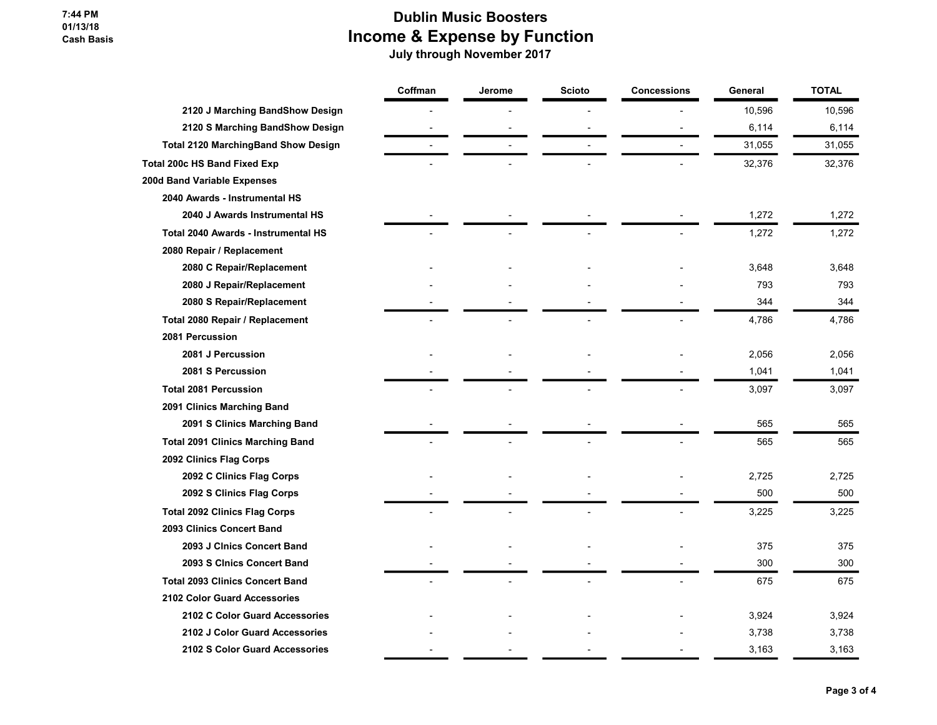#### 7:44 PM 01/13/18 Cash Basis

## Dublin Music Boosters Income & Expense by Function

| 10,596<br>10,596<br>2120 J Marching BandShow Design<br>2120 S Marching BandShow Design<br>6,114<br>6,114<br>31,055<br><b>Total 2120 MarchingBand Show Design</b><br>31,055<br>32,376<br>32,376<br>2040 Awards - Instrumental HS<br>1,272<br>1,272<br>2040 J Awards Instrumental HS<br><b>Total 2040 Awards - Instrumental HS</b><br>1,272<br>1,272<br>2080 Repair / Replacement<br>2080 C Repair/Replacement<br>3,648<br>3,648<br>2080 J Repair/Replacement<br>793<br>793<br>344<br>344<br>2080 S Repair/Replacement<br>4,786<br>4,786<br>Total 2080 Repair / Replacement<br>2081 Percussion<br>2081 J Percussion<br>2,056<br>2,056<br>2081 S Percussion<br>1,041<br>1,041<br><b>Total 2081 Percussion</b><br>3,097<br>3,097<br>2091 Clinics Marching Band<br>565<br>565<br>2091 S Clinics Marching Band<br><b>Total 2091 Clinics Marching Band</b><br>565<br>565<br>2092 Clinics Flag Corps<br>2,725<br>2092 C Clinics Flag Corps<br>2,725<br>2092 S Clinics Flag Corps<br>500<br>500<br><b>Total 2092 Clinics Flag Corps</b><br>3,225<br>3,225<br>2093 Clinics Concert Band<br>2093 J Cinics Concert Band<br>375<br>375<br>2093 S CInics Concert Band<br>300<br>300<br><b>Total 2093 Clinics Concert Band</b><br>675<br>675<br>2102 Color Guard Accessories<br>2102 C Color Guard Accessories<br>3,924<br>3,924<br>2102 J Color Guard Accessories<br>3,738<br>3,738<br>2102 S Color Guard Accessories<br>3,163<br>3,163 |                                     | Coffman | Jerome | <b>Scioto</b> | <b>Concessions</b> | General | <b>TOTAL</b> |
|---------------------------------------------------------------------------------------------------------------------------------------------------------------------------------------------------------------------------------------------------------------------------------------------------------------------------------------------------------------------------------------------------------------------------------------------------------------------------------------------------------------------------------------------------------------------------------------------------------------------------------------------------------------------------------------------------------------------------------------------------------------------------------------------------------------------------------------------------------------------------------------------------------------------------------------------------------------------------------------------------------------------------------------------------------------------------------------------------------------------------------------------------------------------------------------------------------------------------------------------------------------------------------------------------------------------------------------------------------------------------------------------------------------------------|-------------------------------------|---------|--------|---------------|--------------------|---------|--------------|
|                                                                                                                                                                                                                                                                                                                                                                                                                                                                                                                                                                                                                                                                                                                                                                                                                                                                                                                                                                                                                                                                                                                                                                                                                                                                                                                                                                                                                           |                                     |         |        |               |                    |         |              |
|                                                                                                                                                                                                                                                                                                                                                                                                                                                                                                                                                                                                                                                                                                                                                                                                                                                                                                                                                                                                                                                                                                                                                                                                                                                                                                                                                                                                                           |                                     |         |        |               |                    |         |              |
|                                                                                                                                                                                                                                                                                                                                                                                                                                                                                                                                                                                                                                                                                                                                                                                                                                                                                                                                                                                                                                                                                                                                                                                                                                                                                                                                                                                                                           |                                     |         |        |               |                    |         |              |
|                                                                                                                                                                                                                                                                                                                                                                                                                                                                                                                                                                                                                                                                                                                                                                                                                                                                                                                                                                                                                                                                                                                                                                                                                                                                                                                                                                                                                           | <b>Total 200c HS Band Fixed Exp</b> |         |        |               |                    |         |              |
|                                                                                                                                                                                                                                                                                                                                                                                                                                                                                                                                                                                                                                                                                                                                                                                                                                                                                                                                                                                                                                                                                                                                                                                                                                                                                                                                                                                                                           | 200d Band Variable Expenses         |         |        |               |                    |         |              |
|                                                                                                                                                                                                                                                                                                                                                                                                                                                                                                                                                                                                                                                                                                                                                                                                                                                                                                                                                                                                                                                                                                                                                                                                                                                                                                                                                                                                                           |                                     |         |        |               |                    |         |              |
|                                                                                                                                                                                                                                                                                                                                                                                                                                                                                                                                                                                                                                                                                                                                                                                                                                                                                                                                                                                                                                                                                                                                                                                                                                                                                                                                                                                                                           |                                     |         |        |               |                    |         |              |
|                                                                                                                                                                                                                                                                                                                                                                                                                                                                                                                                                                                                                                                                                                                                                                                                                                                                                                                                                                                                                                                                                                                                                                                                                                                                                                                                                                                                                           |                                     |         |        |               |                    |         |              |
|                                                                                                                                                                                                                                                                                                                                                                                                                                                                                                                                                                                                                                                                                                                                                                                                                                                                                                                                                                                                                                                                                                                                                                                                                                                                                                                                                                                                                           |                                     |         |        |               |                    |         |              |
|                                                                                                                                                                                                                                                                                                                                                                                                                                                                                                                                                                                                                                                                                                                                                                                                                                                                                                                                                                                                                                                                                                                                                                                                                                                                                                                                                                                                                           |                                     |         |        |               |                    |         |              |
|                                                                                                                                                                                                                                                                                                                                                                                                                                                                                                                                                                                                                                                                                                                                                                                                                                                                                                                                                                                                                                                                                                                                                                                                                                                                                                                                                                                                                           |                                     |         |        |               |                    |         |              |
|                                                                                                                                                                                                                                                                                                                                                                                                                                                                                                                                                                                                                                                                                                                                                                                                                                                                                                                                                                                                                                                                                                                                                                                                                                                                                                                                                                                                                           |                                     |         |        |               |                    |         |              |
|                                                                                                                                                                                                                                                                                                                                                                                                                                                                                                                                                                                                                                                                                                                                                                                                                                                                                                                                                                                                                                                                                                                                                                                                                                                                                                                                                                                                                           |                                     |         |        |               |                    |         |              |
|                                                                                                                                                                                                                                                                                                                                                                                                                                                                                                                                                                                                                                                                                                                                                                                                                                                                                                                                                                                                                                                                                                                                                                                                                                                                                                                                                                                                                           |                                     |         |        |               |                    |         |              |
|                                                                                                                                                                                                                                                                                                                                                                                                                                                                                                                                                                                                                                                                                                                                                                                                                                                                                                                                                                                                                                                                                                                                                                                                                                                                                                                                                                                                                           |                                     |         |        |               |                    |         |              |
|                                                                                                                                                                                                                                                                                                                                                                                                                                                                                                                                                                                                                                                                                                                                                                                                                                                                                                                                                                                                                                                                                                                                                                                                                                                                                                                                                                                                                           |                                     |         |        |               |                    |         |              |
|                                                                                                                                                                                                                                                                                                                                                                                                                                                                                                                                                                                                                                                                                                                                                                                                                                                                                                                                                                                                                                                                                                                                                                                                                                                                                                                                                                                                                           |                                     |         |        |               |                    |         |              |
|                                                                                                                                                                                                                                                                                                                                                                                                                                                                                                                                                                                                                                                                                                                                                                                                                                                                                                                                                                                                                                                                                                                                                                                                                                                                                                                                                                                                                           |                                     |         |        |               |                    |         |              |
|                                                                                                                                                                                                                                                                                                                                                                                                                                                                                                                                                                                                                                                                                                                                                                                                                                                                                                                                                                                                                                                                                                                                                                                                                                                                                                                                                                                                                           |                                     |         |        |               |                    |         |              |
|                                                                                                                                                                                                                                                                                                                                                                                                                                                                                                                                                                                                                                                                                                                                                                                                                                                                                                                                                                                                                                                                                                                                                                                                                                                                                                                                                                                                                           |                                     |         |        |               |                    |         |              |
|                                                                                                                                                                                                                                                                                                                                                                                                                                                                                                                                                                                                                                                                                                                                                                                                                                                                                                                                                                                                                                                                                                                                                                                                                                                                                                                                                                                                                           |                                     |         |        |               |                    |         |              |
|                                                                                                                                                                                                                                                                                                                                                                                                                                                                                                                                                                                                                                                                                                                                                                                                                                                                                                                                                                                                                                                                                                                                                                                                                                                                                                                                                                                                                           |                                     |         |        |               |                    |         |              |
|                                                                                                                                                                                                                                                                                                                                                                                                                                                                                                                                                                                                                                                                                                                                                                                                                                                                                                                                                                                                                                                                                                                                                                                                                                                                                                                                                                                                                           |                                     |         |        |               |                    |         |              |
|                                                                                                                                                                                                                                                                                                                                                                                                                                                                                                                                                                                                                                                                                                                                                                                                                                                                                                                                                                                                                                                                                                                                                                                                                                                                                                                                                                                                                           |                                     |         |        |               |                    |         |              |
|                                                                                                                                                                                                                                                                                                                                                                                                                                                                                                                                                                                                                                                                                                                                                                                                                                                                                                                                                                                                                                                                                                                                                                                                                                                                                                                                                                                                                           |                                     |         |        |               |                    |         |              |
|                                                                                                                                                                                                                                                                                                                                                                                                                                                                                                                                                                                                                                                                                                                                                                                                                                                                                                                                                                                                                                                                                                                                                                                                                                                                                                                                                                                                                           |                                     |         |        |               |                    |         |              |
|                                                                                                                                                                                                                                                                                                                                                                                                                                                                                                                                                                                                                                                                                                                                                                                                                                                                                                                                                                                                                                                                                                                                                                                                                                                                                                                                                                                                                           |                                     |         |        |               |                    |         |              |
|                                                                                                                                                                                                                                                                                                                                                                                                                                                                                                                                                                                                                                                                                                                                                                                                                                                                                                                                                                                                                                                                                                                                                                                                                                                                                                                                                                                                                           |                                     |         |        |               |                    |         |              |
|                                                                                                                                                                                                                                                                                                                                                                                                                                                                                                                                                                                                                                                                                                                                                                                                                                                                                                                                                                                                                                                                                                                                                                                                                                                                                                                                                                                                                           |                                     |         |        |               |                    |         |              |
|                                                                                                                                                                                                                                                                                                                                                                                                                                                                                                                                                                                                                                                                                                                                                                                                                                                                                                                                                                                                                                                                                                                                                                                                                                                                                                                                                                                                                           |                                     |         |        |               |                    |         |              |
|                                                                                                                                                                                                                                                                                                                                                                                                                                                                                                                                                                                                                                                                                                                                                                                                                                                                                                                                                                                                                                                                                                                                                                                                                                                                                                                                                                                                                           |                                     |         |        |               |                    |         |              |
|                                                                                                                                                                                                                                                                                                                                                                                                                                                                                                                                                                                                                                                                                                                                                                                                                                                                                                                                                                                                                                                                                                                                                                                                                                                                                                                                                                                                                           |                                     |         |        |               |                    |         |              |